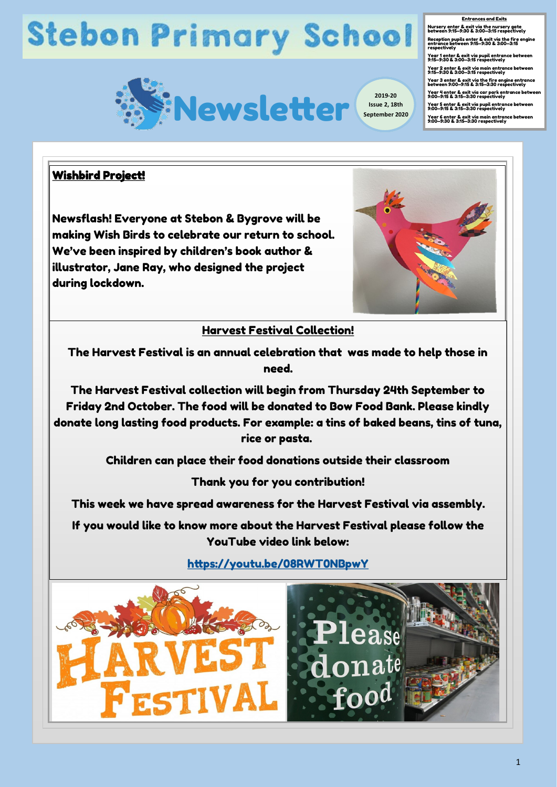# **Stebon Primary School**



**Issue 2, 18th September 2020** <u>Entrances and Exits</u><br>Nursery enter & exit via the nursery gate<br>between 9:15–9:30 & 3:00–3:15 respectively ecception pupils enter & exit via the fire engine<br>entrance between 9:15–9:30 & 3:00–3:15 respectively<br>Year 1 enter & exit via pupil entrance between<br>9:15–9:30 & 3:00–3:15 respectively home Year 2 enter & exit via main entrance between 9:15—9:30 & 3:00—3:15 respectively Year 3 enter & exit via the fire engine entrance<br>between 9:00—9:15 & 3:15—3:30 respectively Year 4 enter & exit via car park entrance between<br>9:00—9:15 & 3:15—3:30 respectively you don't have Year 5 enter & exit via pupil entrance between 9:00—9:15 & 3:15—3:30 respectively symptoms. Year 6 enter & exit via main entrance between 9:00—9:30 & 3:15—3:30 respectively Entrances and Exits respectively

### Wishbird Project!

Newsflash! Everyone at Stebon & Bygrove will be making Wish Birds to celebrate our return to school. We've been inspired by children's book author & illustrator, Jane Ray, who designed the project during lockdown.



### Harvest Festival Collection!

The Harvest Festival is an annual celebration that was made to help those in need.

The Harvest Festival collection will begin from Thursday 24th September to Friday 2nd October. The food will be donated to Bow Food Bank. Please kindly donate long lasting food products. For example: a tins of baked beans, tins of tuna, rice or pasta.

Children can place their food donations outside their classroom

Thank you for you contribution!

This week we have spread awareness for the Harvest Festival via assembly.

If you would like to know more about the Harvest Festival please follow the YouTube video link below:

<https://youtu.be/08RWT0NBpwY>

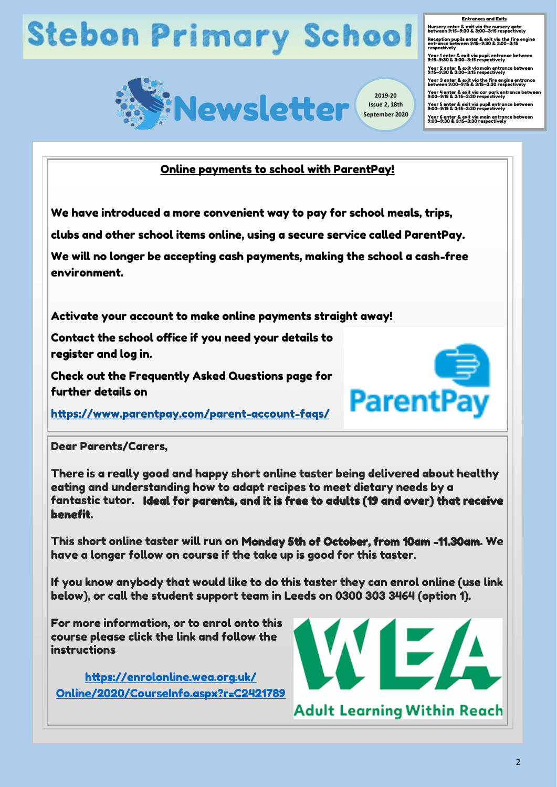# **Stebon Primary School**



<u>Entrances and Exits</u><br>Nursery enter & exit via the nursery gate<br>between 9:15–9:30 & 3:00–3:15 respectively Reception pupils enter & exit via the fire engine<br>entrance between 9:15—9:30 & 3:00—3:15<br>respectively respectively<br>Year 1 enter & exit via pupil entrance between<br>9:15–9:30 & 3:00–3:15 respectively home Year 2 enter & exit via main entrance between 9:15—9:30 & 3:00—3:15 respectively Year 3 enter & exit via the fire engine entrance<br>between 9:00—9:15 & 3:15—3:30 respectively Year 4 enter & exit via car park entrance between<br>9:00—9:15 & 3:15—3:30 respectively you don't have Year 5 enter & exit via pupil entrance between 9:00—9:15 & 3:15—3:30 respectively symptoms. Year 6 enter & exit via main entrance between 9:00—9:30 & 3:15—3:30 respectively Entrances and Exits

### Online payments to school with ParentPay!

We have introduced a more convenient way to pay for school meals, trips,

clubs and other school items online, using a secure service called ParentPay.

We will no longer be accepting cash payments, making the school a cash-free environment.

Activate your account to make online payments straight away!

Contact the school office if you need your details to register and log in.

Check out the Frequently Asked Questions page for further details on

[https://www.parentpay.com/parent](https://www.parentpay.com/parent-account-faqs/)-account-faqs/

#### Dear Parents/Carers,

There is a really good and happy short online taster being delivered about healthy eating and understanding how to adapt recipes to meet dietary needs by a fantastic tutor. Ideal for parents, and it is free to adults (19 and over) that receive benefit.

This short online taster will run on Monday 5th of October, from 10am -11.30am. We have a longer follow on course if the take up is good for this taster.

If you know anybody that would like to do this taster they can enrol online (use link below), or call the student support team in Leeds on 0300 303 3464 (option 1).

For more information, or to enrol onto this course please click the link and follow the instructions

[https://enrolonline.wea.org.uk/](https://enrolonline.wea.org.uk/Online/2020/CourseInfo.aspx?r=C2421789) [Online/2020/CourseInfo.aspx?r=C2421789](https://enrolonline.wea.org.uk/Online/2020/CourseInfo.aspx?r=C2421789)



ParentPay